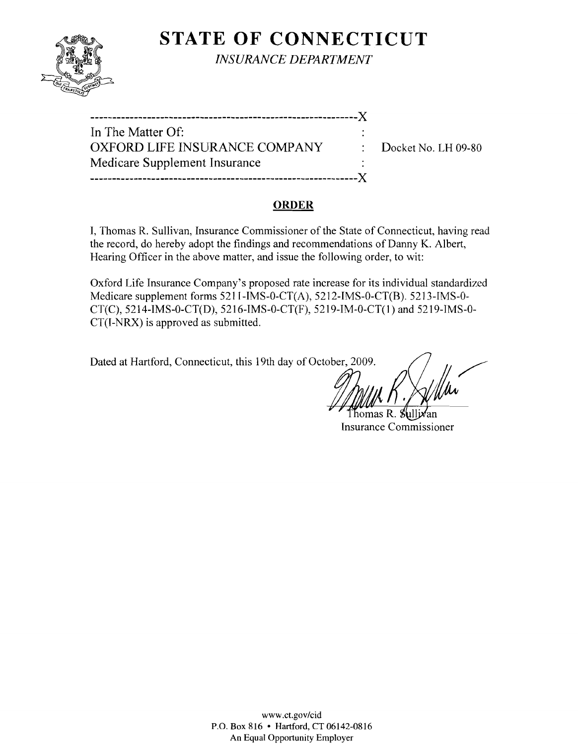

**STATE OF CONNECTICUT** 

*INSURANCE DEPARTMENT* 

| In The Matter Of:             |                                  |
|-------------------------------|----------------------------------|
| OXFORD LIFE INSURANCE COMPANY | $\therefore$ Docket No. LH 09-80 |
| Medicare Supplement Insurance |                                  |
|                               |                                  |

#### **ORDER**

I, Thomas R. Sullivan, Insurance Commissioner of the State of Connecticut, having read the record, do hereby adopt the findings and recommendations of Danny K. Albert, Hearing Officer in the above matter, and issue the following order, to wit:

Oxford Life Insurance Company's proposed rate increase for its individual standardized Medicare supplement forms 5211-IMS-0-CT(A), 5212-IMS-0-CT(B). 5213-IMS-0 CT(C), 5214-IMS-0-CT(D), 5216-IMS-0-CT(F), 5219-IM-0-CT(1) and 5219-IMS-0 CT(I-NRX) is approved as submitted.

Dated at Hartford, Connecticut, this 19th day of October, 2009.

homas R. Sullivan Insurance Commissioner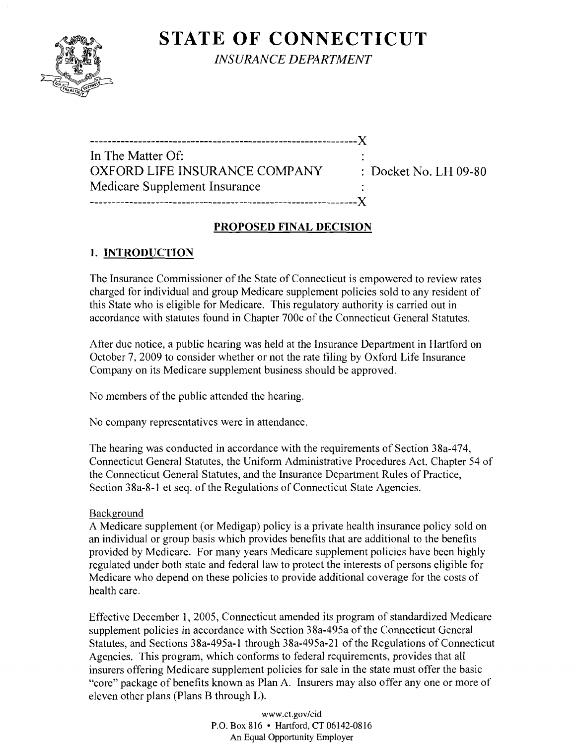# **STATE OF CONNECTICUT**



*INSURANCE DEPARTMENT* 

-------------------------------------------------------------)( In The Matter Of: OXFORD LIFE INSURANCE COMPANY : Docket No. LH 09-80 Medicare Supplement Insurance -------------------------------------------------------------)(

## **PROPOSED FINAL DECISION**

## **1. INTRODUCTION**

The Insurance Commissioner of the State of Connecticut is empowered to review rates charged for individual and group Medicare supplement policies sold to any resident of this State who is eligible for Medicare. This regulatory authority is carried out in accordance with statutes found in Chapter 700c of the Connecticut General Statutes.

After due notice, a public hearing was held at the Insurance Department in Hartford on October 7,2009 to consider whether or not the rate filing by Oxford Life Insurance Company on its Medicare supplement business should be approved.

No members of the public attended the hearing.

No company representatives were in attendance.

The hearing was conducted in accordance with the requirements of Section 38a-474, Connecticut General Statutes, the Uniform Administrative Procedures Act, Chapter 54 of the Connecticut General Statutes, and the Insurance Department Rules of Practice, Section 38a-8-1 et seq. of the Regulations of Connecticut State Agencies.

### Background

A Medicare supplement (or Medigap) policy is a private health insurance policy sold on an individual or group basis which provides benefits that are additional to the benefits provided by Medicare. For many years Medicare supplement policies have been highly regulated under both state and federal law to protect the interests of persons eligible for Medicare who depend on these policies to provide additional coverage for the costs of health care.

Effective December 1, 2005, Connecticut amended its program of standardized Medicare supplement policies in accordance with Section 38a-495a of the Connecticut General Statutes, and Sections 38a-495a-1 through 38a-495a-21 of the Regulations of Connecticut Agencies. This program, which conforms to federal requirements, provides that all insurers offering Medicare supplement policies for sale in the state must offer the basic "core" package of benefits known as Plan A. Insurers may also offer anyone or more of eleven other plans (Plans B through L).

> www.ct.gov/cid P.O. Box 816 • Hartford, CT 06142-0816 An Equal Opportunity Employer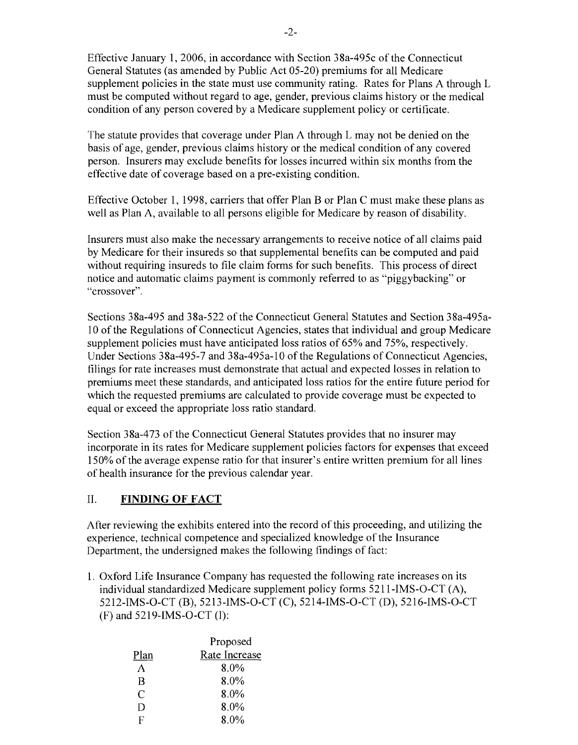Effective January 1,2006, in accordance with Section 38a-495c of the Connecticut General Statutes (as amended by Public Act 05-20) premiums for all Medicare supplement policies in the state must use community rating. Rates for Plans A through L must be computed without regard to age, gender, previous claims history or the medical condition of any person covered by a Medicare supplement policy or certificate.

The statute provides that coverage under Plan A through L may not be denied on the basis of age, gender, previous claims history or the medical condition of any covered person. Insurers may exclude benefits for losses incurred within six months from the effective date of coverage based on a pre-existing condition.

Effective October 1, 1998, carriers that offer Plan B or Plan C must make these plans as well as Plan A, available to all persons eligible for Medicare by reason of disability.

Insurers must also make the necessary arrangements to receive notice of all claims paid by Medicare for their insureds so that supplemental benefits can be computed and paid without requiring insureds to file claim forms for such benefits. This process of direct notice and automatic claims payment is commonly referred to as "piggybacking" or "crossover".

Sections 38a-495 and 38a-522 of the Connecticut General Statutes and Section 38a-495a-10 ofthe Regulations of Connecticut Agencies, states that individual and group Medicare supplement policies must have anticipated loss ratios of 65% and 75%, respectively. Under Sections 38a-495-7 and 38a-495a-10 of the Regulations of Connecticut Agencies, filings for rate increases must demonstrate that actual and expected losses in relation to premiums meet these standards, and anticipated loss ratios for the entire future period for which the requested premiums are calculated to provide coverage must be expected to equal or exceed the appropriate loss ratio standard.

Section 38a-473 of the Connecticut General Statutes provides that no insurer may incorporate in its rates for Medicare supplement policies factors for expenses that exceed 150% of the average expense ratio for that insurer's entire written premium for all lines of health insurance for the previous calendar year.

### II. **FINDING OF FACT**

After reviewing the exhibits entered into the record of this proceeding, and utilizing the experience, technical competence and specialized knowledge of the Insurance Department, the undersigned makes the following findings of fact:

1. Oxford Life Insurance Company has requested the following rate increases on its individual standardized Medicare supplement policy forms 5211-IMS-O-CT (A), 5212-IMS-O-CT (B), 5213-IMS-O-CT (C), 5214-IMS-O-CT (D), 5216-IMS-O-CT (F) and 5219-IMS-O-CT (I):

|      | Proposed      |
|------|---------------|
| Plan | Rate Increase |
| А    | $8.0\%$       |
| B    | $8.0\%$       |
| C    | $8.0\%$       |
| D    | $8.0\%$       |
| R    | 8.0%          |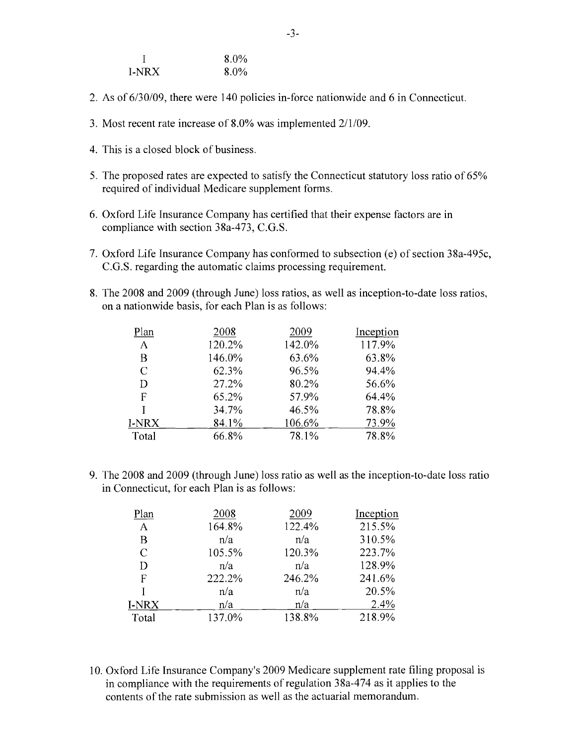|       | $8.0\%$ |
|-------|---------|
| I-NRX | $8.0\%$ |

- 2. As of 6/30/09, there were 140 policies in-force nationwide and 6 in Connecticut.
- 3. Most recent rate increase of 8.0% was implemented  $2/1/09$ .
- 4. This is a closed block of business.
- 5. The proposed rates are expected to satisfy the Connecticut statutory loss ratio of 65% required of individual Medicare supplement forms.
- 6. Oxford Life Insurance Company has certified that their expense factors are in compliance with section 38a-473, C.G.S.
- 7. Oxford Life Insurance Company has conformed to subsection (e) of section 38a-495c, C.G.S. regarding the automatic claims processing requirement.
- 8. The 2008 and 2009 (through June) loss ratios, as well as inception-to-date loss ratios, on a nationwide basis, for each Plan is as follows:

| Plan          | 2008   | 2009   | Inception |
|---------------|--------|--------|-----------|
| A             | 120.2% | 142.0% | 117.9%    |
| В             | 146.0% | 63.6%  | 63.8%     |
| $\mathcal{C}$ | 62.3%  | 96.5%  | 94.4%     |
| D             | 27.2%  | 80.2%  | 56.6%     |
| F             | 65.2%  | 57.9%  | 64.4%     |
| Ĭ             | 34.7%  | 46.5%  | 78.8%     |
| I-NRX         | 84.1%  | 106.6% | 73.9%     |
| Total         | 66.8%  | 78.1%  | 78.8%     |

9. The 2008 and 2009 (through June) loss ratio as well as the inception-to-date loss ratio in Connecticut, for each Plan is as follows:

| Plan          | 2008   | 2009   | Inception |
|---------------|--------|--------|-----------|
| A             | 164.8% | 122.4% | 215.5%    |
| B             | n/a    | n/a    | 310.5%    |
| $\mathcal{C}$ | 105.5% | 120.3% | 223.7%    |
| D             | n/a    | n/a    | 128.9%    |
| F             | 222.2% | 246.2% | 241.6%    |
|               | n/a    | n/a    | 20.5%     |
| I-NRX         | n/a    | n/a    | 2.4%      |
| Total         | 137.0% | 138.8% | 218.9%    |

10. Oxford Life Insurance Company's 2009 Medicare supplement rate filing proposal is in compliance with the requirements of regulation 38a-474 as it applies to the contents of the rate submission as well as the actuarial memorandum.